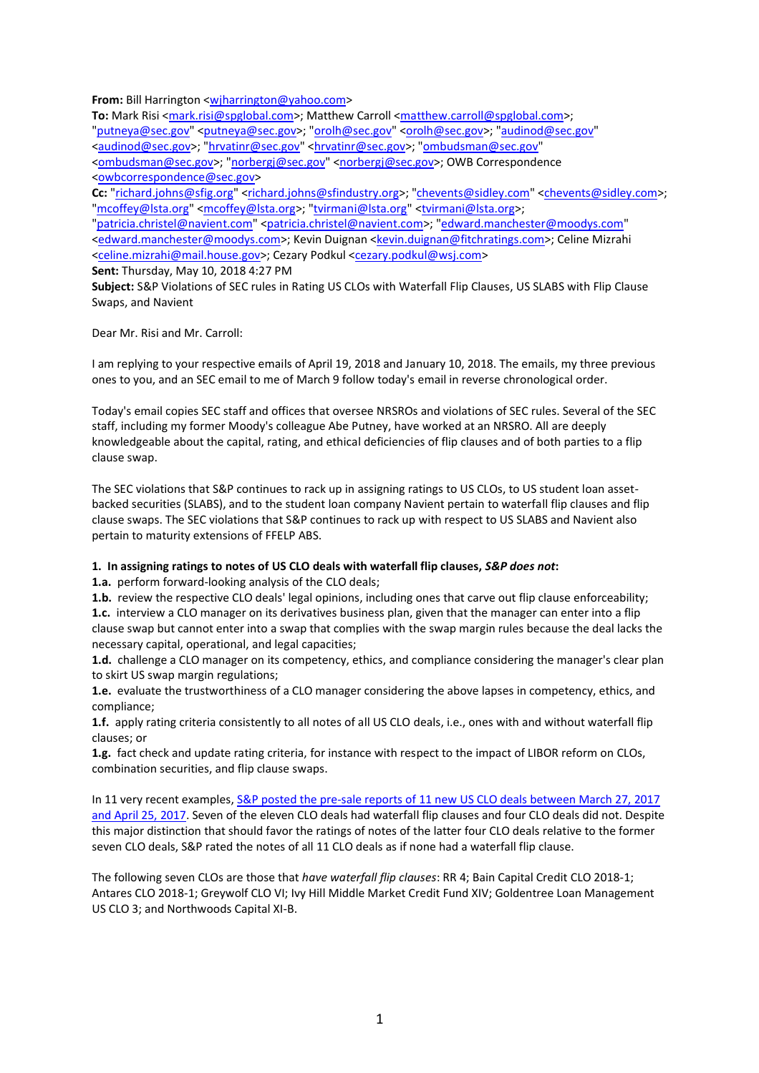**From:** Bill Harrington [<wjharrington@yahoo.com>](mailto:wjharrington@yahoo.com)

To: Mark Risi [<mark.risi@spglobal.com>](mailto:mark.risi@spglobal.com); Matthew Carroll [<matthew.carroll@spglobal.com>](mailto:matthew.carroll@spglobal.com);

["putneya@sec.gov"](mailto:putneya@sec.gov) [<putneya@sec.gov>](mailto:putneya@sec.gov); ["orolh@sec.gov"](mailto:orolh@sec.gov) [<orolh@sec.gov>](mailto:orolh@sec.gov); ["audinod@sec.gov"](mailto:audinod@sec.gov) [<audinod@sec.gov>](mailto:audinod@sec.gov); ["hrvatinr@sec.gov"](mailto:hrvatinr@sec.gov) [<hrvatinr@sec.gov>](mailto:hrvatinr@sec.gov); ["ombudsman@sec.gov"](mailto:ombudsman@sec.gov) [<ombudsman@sec.gov>](mailto:ombudsman@sec.gov); ["norbergj@sec.gov"](mailto:norbergj@sec.gov) [<norbergj@sec.gov>](mailto:norbergj@sec.gov); OWB Correspondence [<owbcorrespondence@sec.gov>](mailto:owbcorrespondence@sec.gov)

Cc: ["richard.johns@sfig.org"](mailto:richard.johns@sfig.org) [<richard.johns@sfindustry.org>](mailto:richard.johns@sfindustry.org); ["chevents@sidley.com"](mailto:chevents@sidley.com) [<chevents@sidley.com>](mailto:chevents@sidley.com); ["mcoffey@lsta.org"](mailto:mcoffey@lsta.org) [<mcoffey@lsta.org>](mailto:mcoffey@lsta.org); ["tvirmani@lsta.org"](mailto:tvirmani@lsta.org) [<tvirmani@lsta.org>](mailto:tvirmani@lsta.org);

["patricia.christel@navient.com"](mailto:patricia.christel@navient.com) [<patricia.christel@navient.com>](mailto:patricia.christel@navient.com); ["edward.manchester@moodys.com"](mailto:edward.manchester@moodys.com) [<edward.manchester@moodys.com>](mailto:edward.manchester@moodys.com); Kevin Duignan [<kevin.duignan@fitchratings.com>](mailto:kevin.duignan@fitchratings.com); Celine Mizrahi [<celine.mizrahi@mail.house.gov>](mailto:celine.mizrahi@mail.house.gov); Cezary Podkul [<cezary.podkul@wsj.com>](mailto:cezary.podkul@wsj.com)

**Sent:** Thursday, May 10, 2018 4:27 PM

**Subject:** S&P Violations of SEC rules in Rating US CLOs with Waterfall Flip Clauses, US SLABS with Flip Clause Swaps, and Navient

Dear Mr. Risi and Mr. Carroll:

I am replying to your respective emails of April 19, 2018 and January 10, 2018. The emails, my three previous ones to you, and an SEC email to me of March 9 follow today's email in reverse chronological order.

Today's email copies SEC staff and offices that oversee NRSROs and violations of SEC rules. Several of the SEC staff, including my former Moody's colleague Abe Putney, have worked at an NRSRO. All are deeply knowledgeable about the capital, rating, and ethical deficiencies of flip clauses and of both parties to a flip clause swap.

The SEC violations that S&P continues to rack up in assigning ratings to US CLOs, to US student loan assetbacked securities (SLABS), and to the student loan company Navient pertain to waterfall flip clauses and flip clause swaps. The SEC violations that S&P continues to rack up with respect to US SLABS and Navient also pertain to maturity extensions of FFELP ABS.

## **1. In assigning ratings to notes of US CLO deals with waterfall flip clauses,** *S&P does not***:**

**1.a.** perform forward-looking analysis of the CLO deals;

**1.b.** review the respective CLO deals' legal opinions, including ones that carve out flip clause enforceability; **1.c.** interview a CLO manager on its derivatives business plan, given that the manager can enter into a flip clause swap but cannot enter into a swap that complies with the swap margin rules because the deal lacks the necessary capital, operational, and legal capacities;

**1.d.** challenge a CLO manager on its competency, ethics, and compliance considering the manager's clear plan to skirt US swap margin regulations;

**1.e.** evaluate the trustworthiness of a CLO manager considering the above lapses in competency, ethics, and compliance;

**1.f.** apply rating criteria consistently to all notes of all US CLO deals, i.e., ones with and without waterfall flip clauses; or

**1.g.** fact check and update rating criteria, for instance with respect to the impact of LIBOR reform on CLOs, combination securities, and flip clause swaps.

In 11 very recent examples, S&P posted the pre-sale reports of 11 new US CLO deals between March 27, 2017 [and April 25, 2017.](https://www.spratings.com/de_DE/structured-finance?catSelected=88359) Seven of the eleven CLO deals had waterfall flip clauses and four CLO deals did not. Despite this major distinction that should favor the ratings of notes of the latter four CLO deals relative to the former seven CLO deals, S&P rated the notes of all 11 CLO deals as if none had a waterfall flip clause.

The following seven CLOs are those that *have waterfall flip clauses*: RR 4; Bain Capital Credit CLO 2018-1; Antares CLO 2018-1; Greywolf CLO VI; Ivy Hill Middle Market Credit Fund XIV; Goldentree Loan Management US CLO 3; and Northwoods Capital XI-B.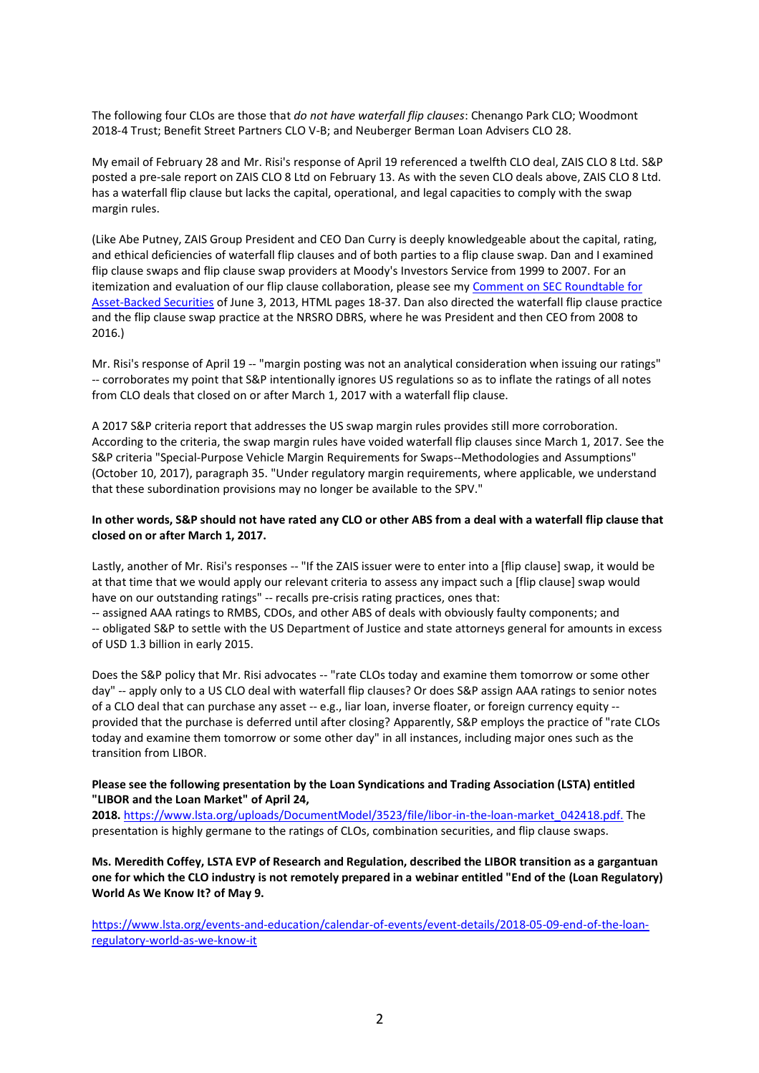The following four CLOs are those that *do not have waterfall flip clauses*: Chenango Park CLO; Woodmont 2018-4 Trust; Benefit Street Partners CLO V-B; and Neuberger Berman Loan Advisers CLO 28.

My email of February 28 and Mr. Risi's response of April 19 referenced a twelfth CLO deal, ZAIS CLO 8 Ltd. S&P posted a pre-sale report on ZAIS CLO 8 Ltd on February 13. As with the seven CLO deals above, ZAIS CLO 8 Ltd. has a waterfall flip clause but lacks the capital, operational, and legal capacities to comply with the swap margin rules.

(Like Abe Putney, ZAIS Group President and CEO Dan Curry is deeply knowledgeable about the capital, rating, and ethical deficiencies of waterfall flip clauses and of both parties to a flip clause swap. Dan and I examined flip clause swaps and flip clause swap providers at Moody's Investors Service from 1999 to 2007. For an itemization and evaluation of our flip clause collaboration, please see my [Comment on SEC Roundtable for](https://www.sec.gov/comments/4-661/4661-28.pdf)  [Asset-Backed Securities](https://www.sec.gov/comments/4-661/4661-28.pdf) of June 3, 2013, HTML pages 18-37. Dan also directed the waterfall flip clause practice and the flip clause swap practice at the NRSRO DBRS, where he was President and then CEO from 2008 to 2016.)

Mr. Risi's response of April 19 -- "margin posting was not an analytical consideration when issuing our ratings" -- corroborates my point that S&P intentionally ignores US regulations so as to inflate the ratings of all notes from CLO deals that closed on or after March 1, 2017 with a waterfall flip clause.

A 2017 S&P criteria report that addresses the US swap margin rules provides still more corroboration. According to the criteria, the swap margin rules have voided waterfall flip clauses since March 1, 2017. See the S&P criteria "Special-Purpose Vehicle Margin Requirements for Swaps--Methodologies and Assumptions" (October 10, 2017), paragraph 35. "Under regulatory margin requirements, where applicable, we understand that these subordination provisions may no longer be available to the SPV."

## **In other words, S&P should not have rated any CLO or other ABS from a deal with a waterfall flip clause that closed on or after March 1, 2017.**

Lastly, another of Mr. Risi's responses -- "If the ZAIS issuer were to enter into a [flip clause] swap, it would be at that time that we would apply our relevant criteria to assess any impact such a [flip clause] swap would have on our outstanding ratings" -- recalls pre-crisis rating practices, ones that:

-- assigned AAA ratings to RMBS, CDOs, and other ABS of deals with obviously faulty components; and -- obligated S&P to settle with the US Department of Justice and state attorneys general for amounts in excess of USD 1.3 billion in early 2015.

Does the S&P policy that Mr. Risi advocates -- "rate CLOs today and examine them tomorrow or some other day" -- apply only to a US CLO deal with waterfall flip clauses? Or does S&P assign AAA ratings to senior notes of a CLO deal that can purchase any asset -- e.g., liar loan, inverse floater, or foreign currency equity - provided that the purchase is deferred until after closing? Apparently, S&P employs the practice of "rate CLOs today and examine them tomorrow or some other day" in all instances, including major ones such as the transition from LIBOR.

#### **Please see the following presentation by the Loan Syndications and Trading Association (LSTA) entitled "LIBOR and the Loan Market" of April 24,**

**2018.** [https://www.lsta.org/uploads/DocumentModel/3523/file/libor-in-the-loan-market\\_042418.pdf.](https://www.lsta.org/uploads/DocumentModel/3523/file/libor-in-the-loan-market_042418.pdf.) The presentation is highly germane to the ratings of CLOs, combination securities, and flip clause swaps.

**Ms. Meredith Coffey, LSTA EVP of Research and Regulation, described the LIBOR transition as a gargantuan one for which the CLO industry is not remotely prepared in a webinar entitled "End of the (Loan Regulatory) World As We Know It? of May 9.**

[https://www.lsta.org/events-and-education/calendar-of-events/event-details/2018-05-09-end-of-the-loan](https://www.lsta.org/events-and-education/calendar-of-events/event-details/2018-05-09-end-of-the-loan-regulatory-world-as-we-know-it)[regulatory-world-as-we-know-it](https://www.lsta.org/events-and-education/calendar-of-events/event-details/2018-05-09-end-of-the-loan-regulatory-world-as-we-know-it)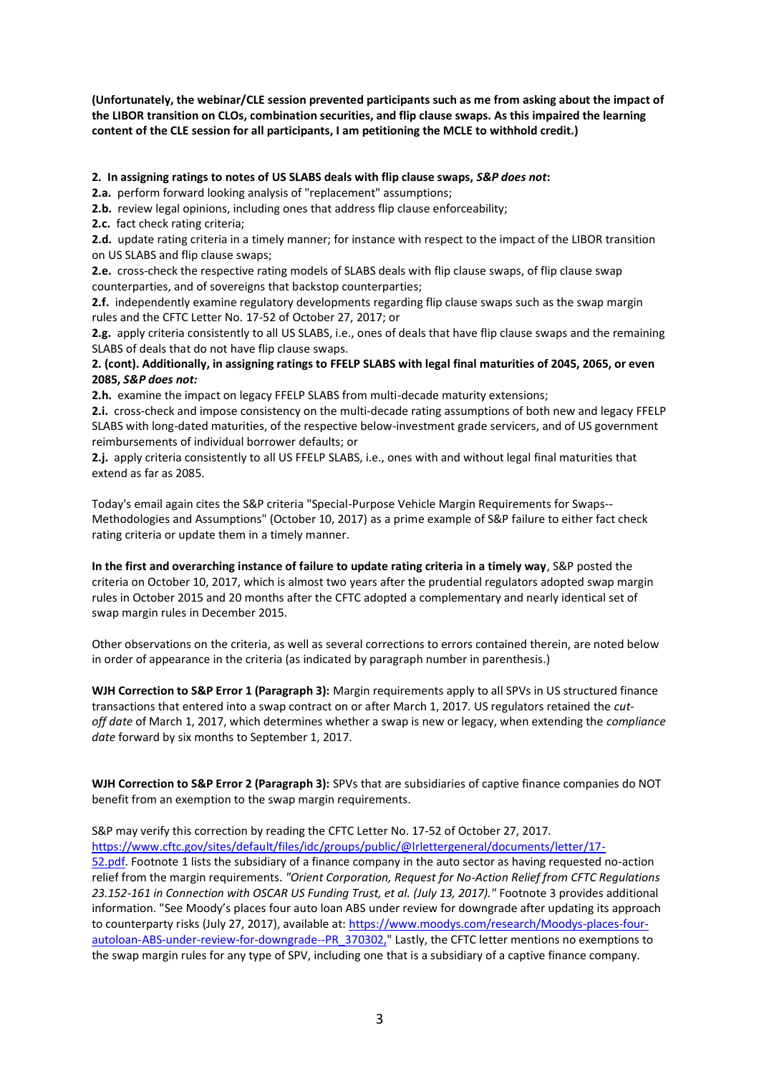**(Unfortunately, the webinar/CLE session prevented participants such as me from asking about the impact of the LIBOR transition on CLOs, combination securities, and flip clause swaps. As this impaired the learning content of the CLE session for all participants, I am petitioning the MCLE to withhold credit.)**

# **2. In assigning ratings to notes of US SLABS deals with flip clause swaps,** *S&P does not***:**

**2.a.** perform forward looking analysis of "replacement" assumptions;

**2.b.** review legal opinions, including ones that address flip clause enforceability;

**2.c.** fact check rating criteria;

**2.d.** update rating criteria in a timely manner; for instance with respect to the impact of the LIBOR transition on US SLABS and flip clause swaps;

**2.e.** cross-check the respective rating models of SLABS deals with flip clause swaps, of flip clause swap counterparties, and of sovereigns that backstop counterparties;

**2.f.** independently examine regulatory developments regarding flip clause swaps such as the swap margin rules and the CFTC Letter No. 17-52 of October 27, 2017; or

**2.g.** apply criteria consistently to all US SLABS, i.e., ones of deals that have flip clause swaps and the remaining SLABS of deals that do not have flip clause swaps.

## **2. (cont). Additionally, in assigning ratings to FFELP SLABS with legal final maturities of 2045, 2065, or even 2085,** *S&P does not:*

**2.h.** examine the impact on legacy FFELP SLABS from multi-decade maturity extensions;

**2.i.** cross-check and impose consistency on the multi-decade rating assumptions of both new and legacy FFELP SLABS with long-dated maturities, of the respective below-investment grade servicers, and of US government reimbursements of individual borrower defaults; or

**2.j.** apply criteria consistently to all US FFELP SLABS, i.e., ones with and without legal final maturities that extend as far as 2085.

Today's email again cites the S&P criteria "Special-Purpose Vehicle Margin Requirements for Swaps-- Methodologies and Assumptions" (October 10, 2017) as a prime example of S&P failure to either fact check rating criteria or update them in a timely manner.

**In the first and overarching instance of failure to update rating criteria in a timely way**, S&P posted the criteria on October 10, 2017, which is almost two years after the prudential regulators adopted swap margin rules in October 2015 and 20 months after the CFTC adopted a complementary and nearly identical set of swap margin rules in December 2015.

Other observations on the criteria, as well as several corrections to errors contained therein, are noted below in order of appearance in the criteria (as indicated by paragraph number in parenthesis.)

**WJH Correction to S&P Error 1 (Paragraph 3):** Margin requirements apply to all SPVs in US structured finance transactions that entered into a swap contract on or after March 1, 2017. US regulators retained the *cutoff date* of March 1, 2017, which determines whether a swap is new or legacy, when extending the *compliance date* forward by six months to September 1, 2017.

**WJH Correction to S&P Error 2 (Paragraph 3):** SPVs that are subsidiaries of captive finance companies do NOT benefit from an exemption to the swap margin requirements.

# S&P may verify this correction by reading the CFTC Letter No. 17-52 of October 27, 2017.

[https://www.cftc.gov/sites/default/files/idc/groups/public/@lrlettergeneral/documents/letter/17-](https://www.cftc.gov/sites/default/files/idc/groups/public/@lrlettergeneral/documents/letter/17-52.pdf) [52.pdf.](https://www.cftc.gov/sites/default/files/idc/groups/public/@lrlettergeneral/documents/letter/17-52.pdf) Footnote 1 lists the subsidiary of a finance company in the auto sector as having requested no-action relief from the margin requirements. *"Orient Corporation, Request for No-Action Relief from CFTC Regulations 23.152-161 in Connection with OSCAR US Funding Trust, et al. (July 13, 2017)."* Footnote 3 provides additional information. "See Moody's places four auto loan ABS under review for downgrade after updating its approach to counterparty risks (July 27, 2017), available at[: https://www.moodys.com/research/Moodys-places-four](https://www.moodys.com/research/Moodys-places-four-autoloan-ABS-under-review-for-downgrade--PR_370302,)[autoloan-ABS-under-review-for-downgrade--PR\\_370302,"](https://www.moodys.com/research/Moodys-places-four-autoloan-ABS-under-review-for-downgrade--PR_370302,) Lastly, the CFTC letter mentions no exemptions to the swap margin rules for any type of SPV, including one that is a subsidiary of a captive finance company.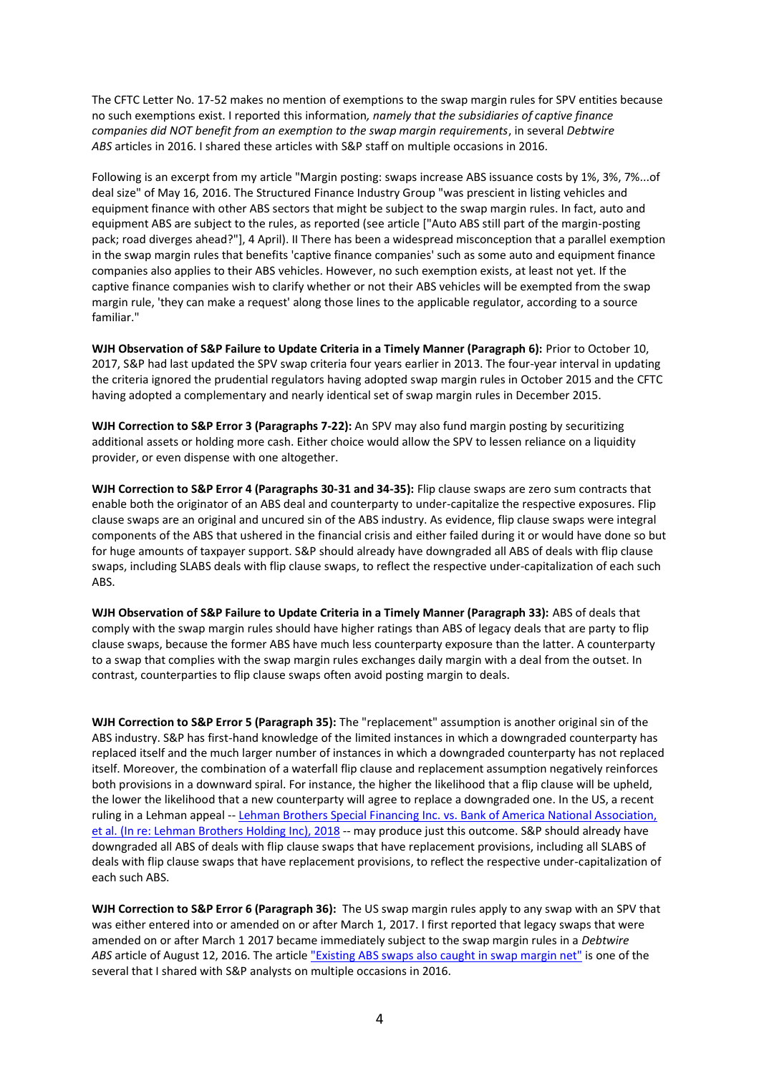The CFTC Letter No. 17-52 makes no mention of exemptions to the swap margin rules for SPV entities because no such exemptions exist. I reported this information*, namely that the subsidiaries of captive finance companies did NOT benefit from an exemption to the swap margin requirements*, in several *Debtwire ABS* articles in 2016. I shared these articles with S&P staff on multiple occasions in 2016.

Following is an excerpt from my article "Margin posting: swaps increase ABS issuance costs by 1%, 3%, 7%...of deal size" of May 16, 2016. The Structured Finance Industry Group "was prescient in listing vehicles and equipment finance with other ABS sectors that might be subject to the swap margin rules. In fact, auto and equipment ABS are subject to the rules, as reported (see article ["Auto ABS still part of the margin-posting pack; road diverges ahead?"], 4 April). II There has been a widespread misconception that a parallel exemption in the swap margin rules that benefits 'captive finance companies' such as some auto and equipment finance companies also applies to their ABS vehicles. However, no such exemption exists, at least not yet. If the captive finance companies wish to clarify whether or not their ABS vehicles will be exempted from the swap margin rule, 'they can make a request' along those lines to the applicable regulator, according to a source familiar."

**WJH Observation of S&P Failure to Update Criteria in a Timely Manner (Paragraph 6):** Prior to October 10, 2017, S&P had last updated the SPV swap criteria four years earlier in 2013. The four-year interval in updating the criteria ignored the prudential regulators having adopted swap margin rules in October 2015 and the CFTC having adopted a complementary and nearly identical set of swap margin rules in December 2015.

**WJH Correction to S&P Error 3 (Paragraphs 7-22):** An SPV may also fund margin posting by securitizing additional assets or holding more cash. Either choice would allow the SPV to lessen reliance on a liquidity provider, or even dispense with one altogether.

**WJH Correction to S&P Error 4 (Paragraphs 30-31 and 34-35):** Flip clause swaps are zero sum contracts that enable both the originator of an ABS deal and counterparty to under-capitalize the respective exposures. Flip clause swaps are an original and uncured sin of the ABS industry. As evidence, flip clause swaps were integral components of the ABS that ushered in the financial crisis and either failed during it or would have done so but for huge amounts of taxpayer support. S&P should already have downgraded all ABS of deals with flip clause swaps, including SLABS deals with flip clause swaps, to reflect the respective under-capitalization of each such ABS.

**WJH Observation of S&P Failure to Update Criteria in a Timely Manner (Paragraph 33):** ABS of deals that comply with the swap margin rules should have higher ratings than ABS of legacy deals that are party to flip clause swaps, because the former ABS have much less counterparty exposure than the latter. A counterparty to a swap that complies with the swap margin rules exchanges daily margin with a deal from the outset. In contrast, counterparties to flip clause swaps often avoid posting margin to deals.

**WJH Correction to S&P Error 5 (Paragraph 35):** The "replacement" assumption is another original sin of the ABS industry. S&P has first-hand knowledge of the limited instances in which a downgraded counterparty has replaced itself and the much larger number of instances in which a downgraded counterparty has not replaced itself. Moreover, the combination of a waterfall flip clause and replacement assumption negatively reinforces both provisions in a downward spiral. For instance, the higher the likelihood that a flip clause will be upheld, the lower the likelihood that a new counterparty will agree to replace a downgraded one. In the US, a recent ruling in a Lehman appeal -- [Lehman Brothers Special Financing Inc. vs. Bank of America National Association,](https://dlbjbjzgnk95t.cloudfront.net/1022000/1022435/https-ecf-nysd-uscourts-gov-doc1-127122046923.pdf)  [et al. \(In re: Lehman Brothers Holding Inc\), 2018](https://dlbjbjzgnk95t.cloudfront.net/1022000/1022435/https-ecf-nysd-uscourts-gov-doc1-127122046923.pdf) -- may produce just this outcome. S&P should already have downgraded all ABS of deals with flip clause swaps that have replacement provisions, including all SLABS of deals with flip clause swaps that have replacement provisions, to reflect the respective under-capitalization of each such ABS.

**WJH Correction to S&P Error 6 (Paragraph 36):** The US swap margin rules apply to any swap with an SPV that was either entered into or amended on or after March 1, 2017. I first reported that legacy swaps that were amended on or after March 1 2017 became immediately subject to the swap margin rules in a *Debtwire ABS* article of August 12, 2016. The article "Existing [ABS swaps also caught in swap margin net"](https://www.debtwire.com/info/existing-abs-swaps-also-caught-swap-margin-net-%E2%80%94-analysis) is one of the several that I shared with S&P analysts on multiple occasions in 2016.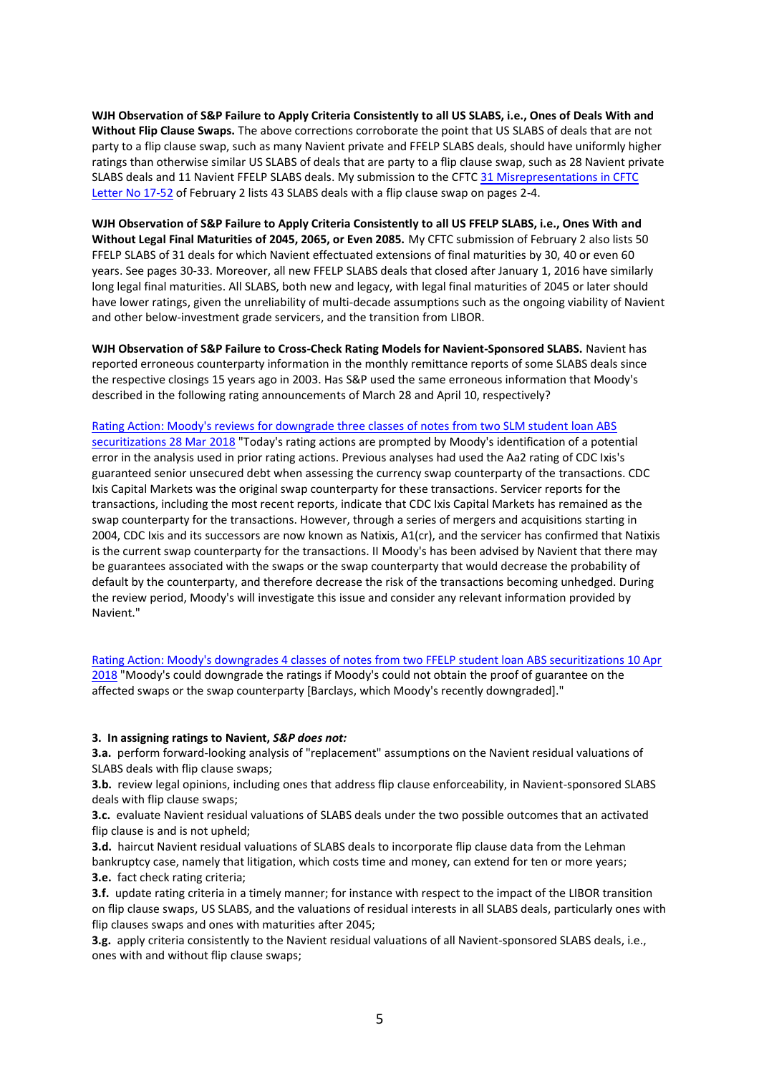**WJH Observation of S&P Failure to Apply Criteria Consistently to all US SLABS, i.e., Ones of Deals With and Without Flip Clause Swaps.** The above corrections corroborate the point that US SLABS of deals that are not party to a flip clause swap, such as many Navient private and FFELP SLABS deals, should have uniformly higher ratings than otherwise similar US SLABS of deals that are party to a flip clause swap, such as 28 Navient private SLABS deals and 11 Navient FFELP SLABS deals. My submission to the CFTC [31 Misrepresentations in CFTC](http://www.wikirating.org/data/other/20180203_Harrington_J_William_31_Misrepresentations_in_CFTC%20_Letter_No_17-52.pdf)  [Letter No 17-52](http://www.wikirating.org/data/other/20180203_Harrington_J_William_31_Misrepresentations_in_CFTC%20_Letter_No_17-52.pdf) of February 2 lists 43 SLABS deals with a flip clause swap on pages 2-4.

**WJH Observation of S&P Failure to Apply Criteria Consistently to all US FFELP SLABS, i.e., Ones With and Without Legal Final Maturities of 2045, 2065, or Even 2085.** My CFTC submission of February 2 also lists 50 FFELP SLABS of 31 deals for which Navient effectuated extensions of final maturities by 30, 40 or even 60 years. See pages 30-33. Moreover, all new FFELP SLABS deals that closed after January 1, 2016 have similarly long legal final maturities. All SLABS, both new and legacy, with legal final maturities of 2045 or later should have lower ratings, given the unreliability of multi-decade assumptions such as the ongoing viability of Navient and other below-investment grade servicers, and the transition from LIBOR.

**WJH Observation of S&P Failure to Cross-Check Rating Models for Navient-Sponsored SLABS.** Navient has reported erroneous counterparty information in the monthly remittance reports of some SLABS deals since the respective closings 15 years ago in 2003. Has S&P used the same erroneous information that Moody's described in the following rating announcements of March 28 and April 10, respectively?

[Rating Action: Moody's reviews for downgrade three classes of notes from two SLM student loan ABS](https://www.moodys.com/research/Moodys-reviews-for-downgrade-three-classes-of-notes-from-two--PR_381201)  [securitizations 28 Mar 2018](https://www.moodys.com/research/Moodys-reviews-for-downgrade-three-classes-of-notes-from-two--PR_381201) "Today's rating actions are prompted by Moody's identification of a potential error in the analysis used in prior rating actions. Previous analyses had used the Aa2 rating of CDC Ixis's guaranteed senior unsecured debt when assessing the currency swap counterparty of the transactions. CDC Ixis Capital Markets was the original swap counterparty for these transactions. Servicer reports for the transactions, including the most recent reports, indicate that CDC Ixis Capital Markets has remained as the swap counterparty for the transactions. However, through a series of mergers and acquisitions starting in 2004, CDC Ixis and its successors are now known as Natixis, A1(cr), and the servicer has confirmed that Natixis is the current swap counterparty for the transactions. II Moody's has been advised by Navient that there may be guarantees associated with the swaps or the swap counterparty that would decrease the probability of default by the counterparty, and therefore decrease the risk of the transactions becoming unhedged. During the review period, Moody's will investigate this issue and consider any relevant information provided by Navient."

[Rating Action: Moody's downgrades 4 classes of notes from two FFELP student loan ABS securitizations 10 Apr](https://www.moodys.com/research/Moodys-downgrades-4-classes-of-notes-from-two-FFELP-student--PR_382038)  [2018](https://www.moodys.com/research/Moodys-downgrades-4-classes-of-notes-from-two-FFELP-student--PR_382038) "Moody's could downgrade the ratings if Moody's could not obtain the proof of guarantee on the affected swaps or the swap counterparty [Barclays, which Moody's recently downgraded]."

## **3. In assigning ratings to Navient,** *S&P does not:*

**3.a.** perform forward-looking analysis of "replacement" assumptions on the Navient residual valuations of SLABS deals with flip clause swaps;

**3.b.** review legal opinions, including ones that address flip clause enforceability, in Navient-sponsored SLABS deals with flip clause swaps;

**3.c.** evaluate Navient residual valuations of SLABS deals under the two possible outcomes that an activated flip clause is and is not upheld;

**3.d.** haircut Navient residual valuations of SLABS deals to incorporate flip clause data from the Lehman bankruptcy case, namely that litigation, which costs time and money, can extend for ten or more years; **3.e.** fact check rating criteria;

**3.f.** update rating criteria in a timely manner; for instance with respect to the impact of the LIBOR transition on flip clause swaps, US SLABS, and the valuations of residual interests in all SLABS deals, particularly ones with flip clauses swaps and ones with maturities after 2045;

**3.g.** apply criteria consistently to the Navient residual valuations of all Navient-sponsored SLABS deals, i.e., ones with and without flip clause swaps;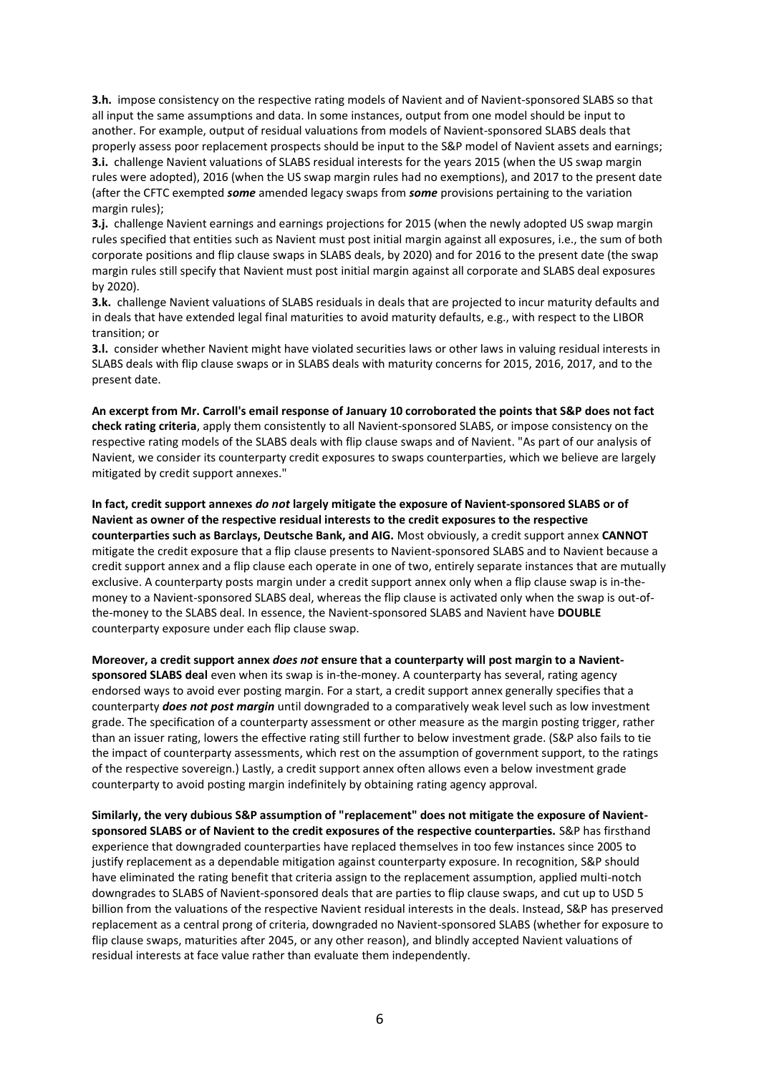**3.h.** impose consistency on the respective rating models of Navient and of Navient-sponsored SLABS so that all input the same assumptions and data. In some instances, output from one model should be input to another. For example, output of residual valuations from models of Navient-sponsored SLABS deals that properly assess poor replacement prospects should be input to the S&P model of Navient assets and earnings; **3.i.** challenge Navient valuations of SLABS residual interests for the years 2015 (when the US swap margin rules were adopted), 2016 (when the US swap margin rules had no exemptions), and 2017 to the present date (after the CFTC exempted *some* amended legacy swaps from *some* provisions pertaining to the variation margin rules);

**3.j.** challenge Navient earnings and earnings projections for 2015 (when the newly adopted US swap margin rules specified that entities such as Navient must post initial margin against all exposures, i.e., the sum of both corporate positions and flip clause swaps in SLABS deals, by 2020) and for 2016 to the present date (the swap margin rules still specify that Navient must post initial margin against all corporate and SLABS deal exposures by 2020).

**3.k.** challenge Navient valuations of SLABS residuals in deals that are projected to incur maturity defaults and in deals that have extended legal final maturities to avoid maturity defaults, e.g., with respect to the LIBOR transition; or

**3.l.** consider whether Navient might have violated securities laws or other laws in valuing residual interests in SLABS deals with flip clause swaps or in SLABS deals with maturity concerns for 2015, 2016, 2017, and to the present date.

**An excerpt from Mr. Carroll's email response of January 10 corroborated the points that S&P does not fact check rating criteria**, apply them consistently to all Navient-sponsored SLABS, or impose consistency on the respective rating models of the SLABS deals with flip clause swaps and of Navient. "As part of our analysis of Navient, we consider its counterparty credit exposures to swaps counterparties, which we believe are largely mitigated by credit support annexes."

**In fact, credit support annexes** *do not* **largely mitigate the exposure of Navient-sponsored SLABS or of Navient as owner of the respective residual interests to the credit exposures to the respective counterparties such as Barclays, Deutsche Bank, and AIG.** Most obviously, a credit support annex **CANNOT** mitigate the credit exposure that a flip clause presents to Navient-sponsored SLABS and to Navient because a credit support annex and a flip clause each operate in one of two, entirely separate instances that are mutually exclusive. A counterparty posts margin under a credit support annex only when a flip clause swap is in-themoney to a Navient-sponsored SLABS deal, whereas the flip clause is activated only when the swap is out-ofthe-money to the SLABS deal. In essence, the Navient-sponsored SLABS and Navient have **DOUBLE** counterparty exposure under each flip clause swap.

**Moreover, a credit support annex** *does not* **ensure that a counterparty will post margin to a Navientsponsored SLABS deal** even when its swap is in-the-money. A counterparty has several, rating agency endorsed ways to avoid ever posting margin. For a start, a credit support annex generally specifies that a counterparty *does not post margin* until downgraded to a comparatively weak level such as low investment grade. The specification of a counterparty assessment or other measure as the margin posting trigger, rather than an issuer rating, lowers the effective rating still further to below investment grade. (S&P also fails to tie the impact of counterparty assessments, which rest on the assumption of government support, to the ratings of the respective sovereign.) Lastly, a credit support annex often allows even a below investment grade counterparty to avoid posting margin indefinitely by obtaining rating agency approval.

**Similarly, the very dubious S&P assumption of "replacement" does not mitigate the exposure of Navientsponsored SLABS or of Navient to the credit exposures of the respective counterparties.** S&P has firsthand experience that downgraded counterparties have replaced themselves in too few instances since 2005 to justify replacement as a dependable mitigation against counterparty exposure. In recognition, S&P should have eliminated the rating benefit that criteria assign to the replacement assumption, applied multi-notch downgrades to SLABS of Navient-sponsored deals that are parties to flip clause swaps, and cut up to USD 5 billion from the valuations of the respective Navient residual interests in the deals. Instead, S&P has preserved replacement as a central prong of criteria, downgraded no Navient-sponsored SLABS (whether for exposure to flip clause swaps, maturities after 2045, or any other reason), and blindly accepted Navient valuations of residual interests at face value rather than evaluate them independently.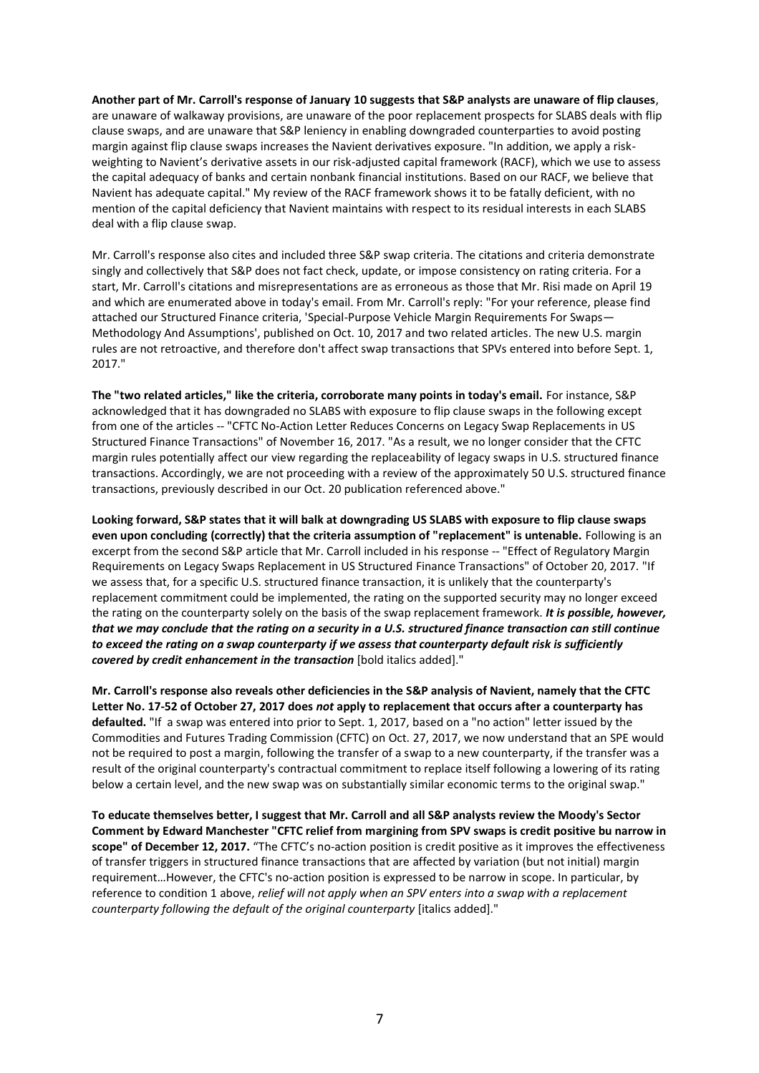**Another part of Mr. Carroll's response of January 10 suggests that S&P analysts are unaware of flip clauses**, are unaware of walkaway provisions, are unaware of the poor replacement prospects for SLABS deals with flip clause swaps, and are unaware that S&P leniency in enabling downgraded counterparties to avoid posting margin against flip clause swaps increases the Navient derivatives exposure. "In addition, we apply a riskweighting to Navient's derivative assets in our risk-adjusted capital framework (RACF), which we use to assess the capital adequacy of banks and certain nonbank financial institutions. Based on our RACF, we believe that Navient has adequate capital." My review of the RACF framework shows it to be fatally deficient, with no mention of the capital deficiency that Navient maintains with respect to its residual interests in each SLABS deal with a flip clause swap.

Mr. Carroll's response also cites and included three S&P swap criteria. The citations and criteria demonstrate singly and collectively that S&P does not fact check, update, or impose consistency on rating criteria. For a start, Mr. Carroll's citations and misrepresentations are as erroneous as those that Mr. Risi made on April 19 and which are enumerated above in today's email. From Mr. Carroll's reply: "For your reference, please find attached our Structured Finance criteria, 'Special-Purpose Vehicle Margin Requirements For Swaps— Methodology And Assumptions', published on Oct. 10, 2017 and two related articles. The new U.S. margin rules are not retroactive, and therefore don't affect swap transactions that SPVs entered into before Sept. 1, 2017."

**The "two related articles," like the criteria, corroborate many points in today's email.** For instance, S&P acknowledged that it has downgraded no SLABS with exposure to flip clause swaps in the following except from one of the articles -- "CFTC No-Action Letter Reduces Concerns on Legacy Swap Replacements in US Structured Finance Transactions" of November 16, 2017. "As a result, we no longer consider that the CFTC margin rules potentially affect our view regarding the replaceability of legacy swaps in U.S. structured finance transactions. Accordingly, we are not proceeding with a review of the approximately 50 U.S. structured finance transactions, previously described in our Oct. 20 publication referenced above."

**Looking forward, S&P states that it will balk at downgrading US SLABS with exposure to flip clause swaps even upon concluding (correctly) that the criteria assumption of "replacement" is untenable.** Following is an excerpt from the second S&P article that Mr. Carroll included in his response -- "Effect of Regulatory Margin Requirements on Legacy Swaps Replacement in US Structured Finance Transactions" of October 20, 2017. "If we assess that, for a specific U.S. structured finance transaction, it is unlikely that the counterparty's replacement commitment could be implemented, the rating on the supported security may no longer exceed the rating on the counterparty solely on the basis of the swap replacement framework. *It is possible, however, that we may conclude that the rating on a security in a U.S. structured finance transaction can still continue to exceed the rating on a swap counterparty if we assess that counterparty default risk is sufficiently covered by credit enhancement in the transaction* [bold italics added]."

**Mr. Carroll's response also reveals other deficiencies in the S&P analysis of Navient, namely that the CFTC Letter No. 17-52 of October 27, 2017 does** *not* **apply to replacement that occurs after a counterparty has defaulted.** "If a swap was entered into prior to Sept. 1, 2017, based on a "no action" letter issued by the Commodities and Futures Trading Commission (CFTC) on Oct. 27, 2017, we now understand that an SPE would not be required to post a margin, following the transfer of a swap to a new counterparty, if the transfer was a result of the original counterparty's contractual commitment to replace itself following a lowering of its rating below a certain level, and the new swap was on substantially similar economic terms to the original swap."

**To educate themselves better, I suggest that Mr. Carroll and all S&P analysts review the Moody's Sector Comment by Edward Manchester "CFTC relief from margining from SPV swaps is credit positive bu narrow in scope" of December 12, 2017.** "The CFTC's no-action position is credit positive as it improves the effectiveness of transfer triggers in structured finance transactions that are affected by variation (but not initial) margin requirement…However, the CFTC's no-action position is expressed to be narrow in scope. In particular, by reference to condition 1 above, *relief will not apply when an SPV enters into a swap with a replacement counterparty following the default of the original counterparty* [italics added]."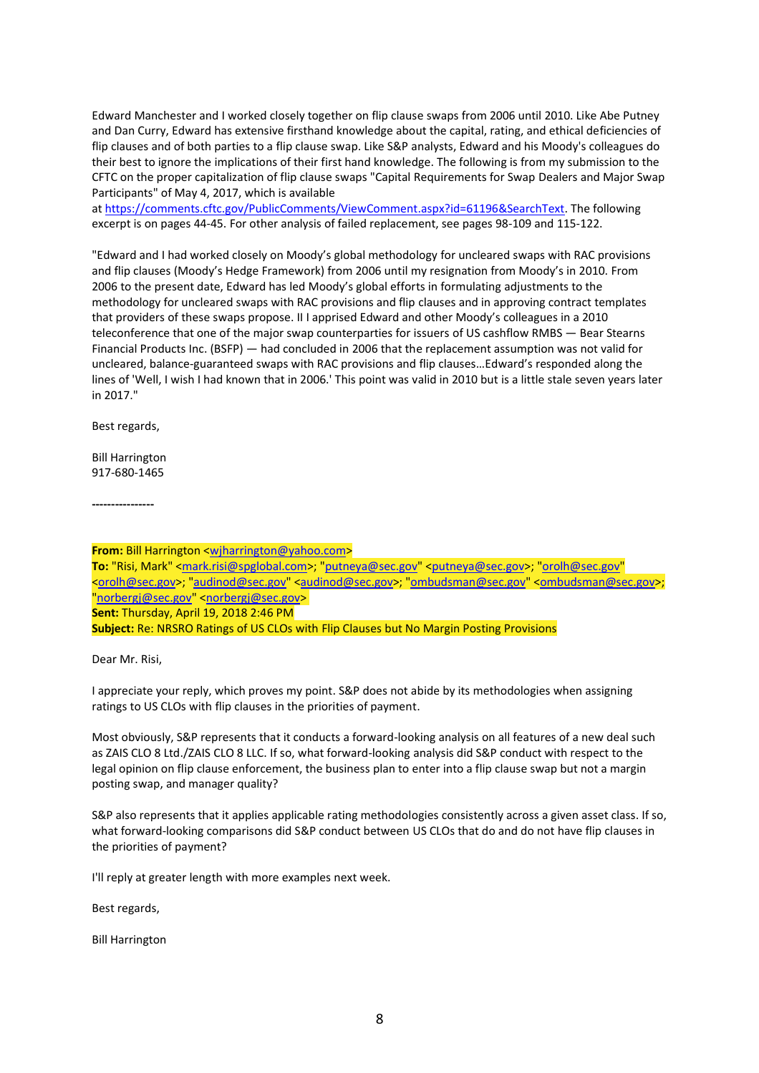Edward Manchester and I worked closely together on flip clause swaps from 2006 until 2010. Like Abe Putney and Dan Curry, Edward has extensive firsthand knowledge about the capital, rating, and ethical deficiencies of flip clauses and of both parties to a flip clause swap. Like S&P analysts, Edward and his Moody's colleagues do their best to ignore the implications of their first hand knowledge. The following is from my submission to the CFTC on the proper capitalization of flip clause swaps "Capital Requirements for Swap Dealers and Major Swap Participants" of May 4, 2017, which is available

at [https://comments.cftc.gov/PublicComments/ViewComment.aspx?id=61196&SearchText.](https://comments.cftc.gov/PublicComments/ViewComment.aspx?id=61196&SearchText) The following excerpt is on pages 44-45. For other analysis of failed replacement, see pages 98-109 and 115-122.

"Edward and I had worked closely on Moody's global methodology for uncleared swaps with RAC provisions and flip clauses (Moody's Hedge Framework) from 2006 until my resignation from Moody's in 2010. From 2006 to the present date, Edward has led Moody's global efforts in formulating adjustments to the methodology for uncleared swaps with RAC provisions and flip clauses and in approving contract templates that providers of these swaps propose. II I apprised Edward and other Moody's colleagues in a 2010 teleconference that one of the major swap counterparties for issuers of US cashflow RMBS — Bear Stearns Financial Products Inc. (BSFP) — had concluded in 2006 that the replacement assumption was not valid for uncleared, balance-guaranteed swaps with RAC provisions and flip clauses…Edward's responded along the lines of 'Well, I wish I had known that in 2006.' This point was valid in 2010 but is a little stale seven years later in 2017."

Best regards,

Bill Harrington 917-680-1465

**----------------**

**From:** Bill Harrington [<wjharrington@yahoo.com>](mailto:wjharrington@yahoo.com) To: "Risi, Mark" [<mark.risi@spglobal.com>](mailto:mark.risi@spglobal.com); ["putneya@sec.gov"](mailto:putneya@sec.gov) [<putneya@sec.gov>](mailto:putneya@sec.gov); ["orolh@sec.gov"](mailto:orolh@sec.gov) [<orolh@sec.gov>](mailto:orolh@sec.gov); ["audinod@sec.gov"](mailto:audinod@sec.gov) [<audinod@sec.gov>](mailto:audinod@sec.gov); ["ombudsman@sec.gov"](mailto:ombudsman@sec.gov) [<ombudsman@sec.gov>](mailto:ombudsman@sec.gov); ["norbergj@sec.gov"](mailto:norbergj@sec.gov) [<norbergj@sec.gov>](mailto:norbergj@sec.gov) **Sent:** Thursday, April 19, 2018 2:46 PM **Subject:** Re: NRSRO Ratings of US CLOs with Flip Clauses but No Margin Posting Provisions

Dear Mr. Risi,

I appreciate your reply, which proves my point. S&P does not abide by its methodologies when assigning ratings to US CLOs with flip clauses in the priorities of payment.

Most obviously, S&P represents that it conducts a forward-looking analysis on all features of a new deal such as ZAIS CLO 8 Ltd./ZAIS CLO 8 LLC. If so, what forward-looking analysis did S&P conduct with respect to the legal opinion on flip clause enforcement, the business plan to enter into a flip clause swap but not a margin posting swap, and manager quality?

S&P also represents that it applies applicable rating methodologies consistently across a given asset class. If so, what forward-looking comparisons did S&P conduct between US CLOs that do and do not have flip clauses in the priorities of payment?

I'll reply at greater length with more examples next week.

Best regards,

Bill Harrington